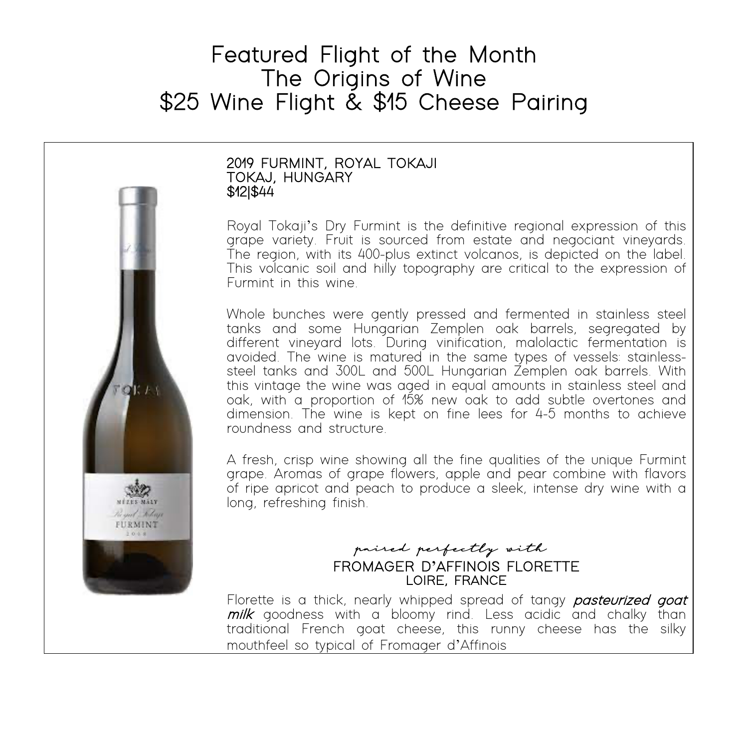# Featured Flight of the Month<br>The Origins of Wine<br>\$25 Wine Flight & \$15 Cheese Pairing



### Ξ 2019 FURMINT, ROYAL TOKAJI<br>TOKAJ, HUNGARY<br>\$12|\$44

Royal Tokaji's Dry Furmint is the definitive regional expression of this grape variety. Fruit is sourced from estate and negociant vineyards. The region, with its 400-plus extinct volcanos, is depicted on the label. This volcanic soil and hilly topography are critical to the expression of Furmint in this wine.

Whole bunches were gently pressed and fermented in stainless steel tanks and some Hungarian Zemplen oak barrels, segregated by different vineyard lots. During vinification, malolactic fermentation is avoided. The wine is matured in the same types of vessels: stainless- steel tanks and 300L and 500L Hungarian Zemplen oak barrels. With this vintage the wine was aged in equal amounts in stainless steel and oak, with a proportion of 15% new oak to add subtle overtones and dimension. The wine is kept on fine lees for 4-5 months to achieve roundness and structure.

A fresh, crisp wine showing all the fine qualities of the unique Furmint grape. Aromas of grape flowers, apple and pear combine with flavors of ripe apricot and peach to produce a sleek, intense dry wine with a long, refreshing finish.

### paired perfectly with FROMAGER D**'**AFFINOIS FLORETTE LOIRE, FRANCE

Florette is a thick, nearly whipped spread of tangy *pasteurized goat* milk goodness with a bloomy rind. Less acidic and chalky than traditional French goat cheese, this runny cheese has the silky mouthfeel so typical of Fromager d'Affinois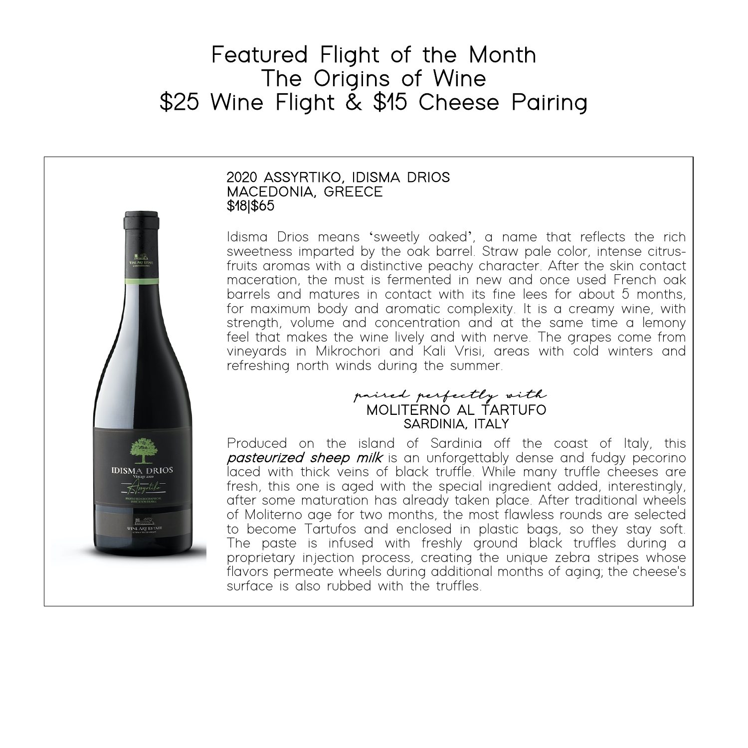# Featured Flight of the Month<br>The Origins of Wine<br>\$25 Wine Flight & \$15 Cheese Pairing



## 2020 ASSYRTIKO, IDISMA DRIOS<br>MACEDONIA, GREECE<br>\$18|\$65

Idisma Drios means 'sweetly oaked', a name that reflects the rich sweetness imparted by the oak barrel. Straw pale color, intense citrus- fruits aromas with a distinctive peachy character. After the skin contact maceration, the must is fermented in new and once used French oak barrels and matures in contact with its fine lees for about 5 months, for maximum body and aromatic complexity. It is a creamy wine, with strength, volume and concentration and at the same time a lemony feel that makes the wine lively and with nerve. The grapes come from vineyards in Mikrochori and Kali Vrisi, areas with cold winters and refreshing north winds during the summer.

### paired perfectly with MOLITERNO AL TARTUFO SARDINIA, ITALY

Produced on the island of Sardinia off the coast of Italy, this **pasteurized sheep milk** is an unforgettably dense and fudgy pecorino laced with thick veins of black truffle. While many truffle cheeses are fresh, this one is aged with the special ingredient added, interestingly, after some maturation has already taken place. After traditional wheels of Moliterno age for two months, the most flawless rounds are selected to become Tartufos and enclosed in plastic bags, so they stay soft. The paste is infused with freshly ground black truffles during a proprietary injection process, creating the unique zebra stripes whose flavors permeate wheels during additional months of aging; the cheese's surface is also rubbed with the truffles.